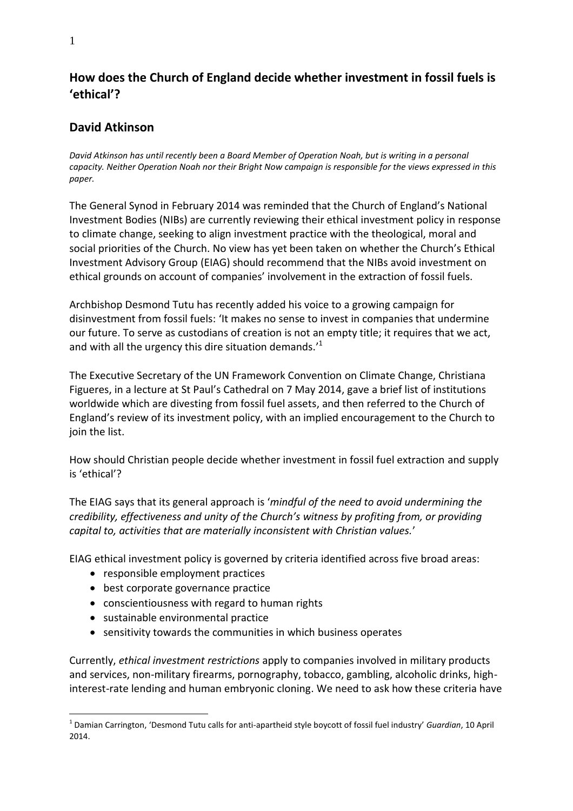# **How does the Church of England decide whether investment in fossil fuels is 'ethical'?**

# **David Atkinson**

*David Atkinson has until recently been a Board Member of Operation Noah, but is writing in a personal capacity. Neither Operation Noah nor their Bright Now campaign is responsible for the views expressed in this paper.* 

The General Synod in February 2014 was reminded that the Church of England's National Investment Bodies (NIBs) are currently reviewing their ethical investment policy in response to climate change, seeking to align investment practice with the theological, moral and social priorities of the Church. No view has yet been taken on whether the Church's Ethical Investment Advisory Group (EIAG) should recommend that the NIBs avoid investment on ethical grounds on account of companies' involvement in the extraction of fossil fuels.

Archbishop Desmond Tutu has recently added his voice to a growing campaign for disinvestment from fossil fuels: 'It makes no sense to invest in companies that undermine our future. To serve as custodians of creation is not an empty title; it requires that we act, and with all the urgency this dire situation demands. $^{\prime1}$ 

The Executive Secretary of the UN Framework Convention on Climate Change, Christiana Figueres, in a lecture at St Paul's Cathedral on 7 May 2014, gave a brief list of institutions worldwide which are divesting from fossil fuel assets, and then referred to the Church of England's review of its investment policy, with an implied encouragement to the Church to join the list.

How should Christian people decide whether investment in fossil fuel extraction and supply is 'ethical'?

The EIAG says that its general approach is '*mindful of the need to avoid undermining the credibility, effectiveness and unity of the Church's witness by profiting from, or providing capital to, activities that are materially inconsistent with Christian values.*'

EIAG ethical investment policy is governed by criteria identified across five broad areas:

- responsible employment practices
- best corporate governance practice
- conscientiousness with regard to human rights
- sustainable environmental practice
- sensitivity towards the communities in which business operates

Currently, *ethical investment restrictions* apply to companies involved in military products and services, non-military firearms, pornography, tobacco, gambling, alcoholic drinks, highinterest-rate lending and human embryonic cloning. We need to ask how these criteria have

 $\overline{a}$ 1 Damian Carrington, 'Desmond Tutu calls for anti-apartheid style boycott of fossil fuel industry' *Guardian*, 10 April 2014.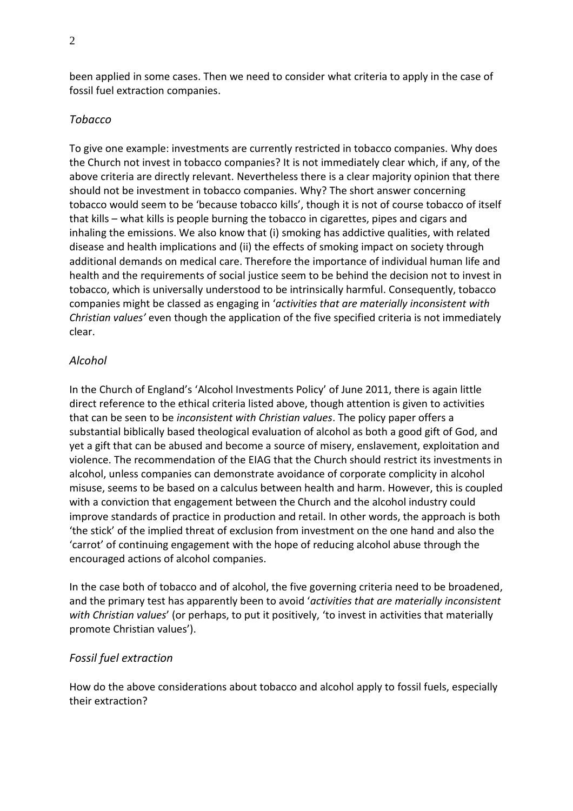been applied in some cases. Then we need to consider what criteria to apply in the case of fossil fuel extraction companies.

### *Tobacco*

To give one example: investments are currently restricted in tobacco companies. Why does the Church not invest in tobacco companies? It is not immediately clear which, if any, of the above criteria are directly relevant. Nevertheless there is a clear majority opinion that there should not be investment in tobacco companies. Why? The short answer concerning tobacco would seem to be 'because tobacco kills', though it is not of course tobacco of itself that kills – what kills is people burning the tobacco in cigarettes, pipes and cigars and inhaling the emissions. We also know that (i) smoking has addictive qualities, with related disease and health implications and (ii) the effects of smoking impact on society through additional demands on medical care. Therefore the importance of individual human life and health and the requirements of social justice seem to be behind the decision not to invest in tobacco, which is universally understood to be intrinsically harmful. Consequently, tobacco companies might be classed as engaging in '*activities that are materially inconsistent with Christian values'* even though the application of the five specified criteria is not immediately clear.

### *Alcohol*

In the Church of England's 'Alcohol Investments Policy' of June 2011, there is again little direct reference to the ethical criteria listed above, though attention is given to activities that can be seen to be *inconsistent with Christian values*. The policy paper offers a substantial biblically based theological evaluation of alcohol as both a good gift of God, and yet a gift that can be abused and become a source of misery, enslavement, exploitation and violence. The recommendation of the EIAG that the Church should restrict its investments in alcohol, unless companies can demonstrate avoidance of corporate complicity in alcohol misuse, seems to be based on a calculus between health and harm. However, this is coupled with a conviction that engagement between the Church and the alcohol industry could improve standards of practice in production and retail. In other words, the approach is both 'the stick' of the implied threat of exclusion from investment on the one hand and also the 'carrot' of continuing engagement with the hope of reducing alcohol abuse through the encouraged actions of alcohol companies.

In the case both of tobacco and of alcohol, the five governing criteria need to be broadened, and the primary test has apparently been to avoid '*activities that are materially inconsistent with Christian values*' (or perhaps, to put it positively, 'to invest in activities that materially promote Christian values').

### *Fossil fuel extraction*

How do the above considerations about tobacco and alcohol apply to fossil fuels, especially their extraction?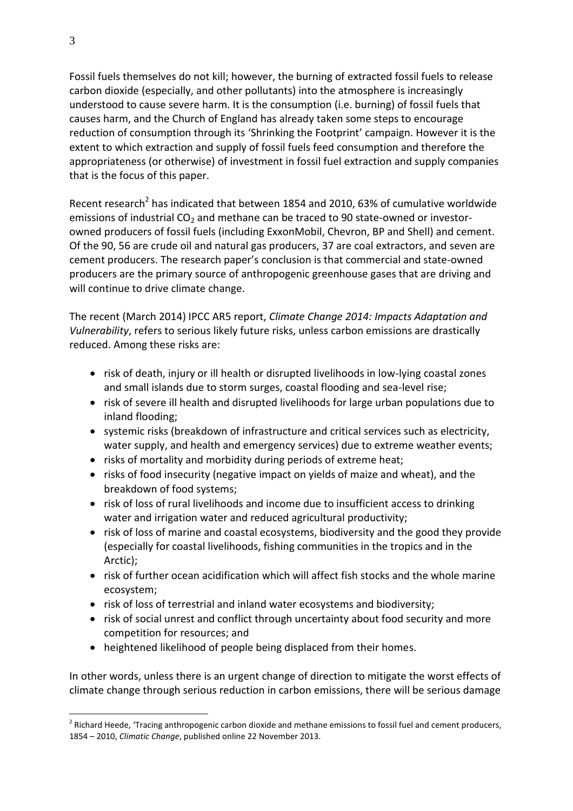Fossil fuels themselves do not kill; however, the burning of extracted fossil fuels to release carbon dioxide (especially, and other pollutants) into the atmosphere is increasingly understood to cause severe harm. It is the consumption (i.e. burning) of fossil fuels that causes harm, and the Church of England has already taken some steps to encourage reduction of consumption through its 'Shrinking the Footprint' campaign. However it is the extent to which extraction and supply of fossil fuels feed consumption and therefore the appropriateness (or otherwise) of investment in fossil fuel extraction and supply companies that is the focus of this paper.

Recent research<sup>2</sup> has indicated that between 1854 and 2010, 63% of cumulative worldwide emissions of industrial  $CO<sub>2</sub>$  and methane can be traced to 90 state-owned or investorowned producers of fossil fuels (including ExxonMobil, Chevron, BP and Shell) and cement. Of the 90, 56 are crude oil and natural gas producers, 37 are coal extractors, and seven are cement producers. The research paper's conclusion is that commercial and state-owned producers are the primary source of anthropogenic greenhouse gases that are driving and will continue to drive climate change.

The recent (March 2014) IPCC AR5 report, *Climate Change 2014: Impacts Adaptation and Vulnerability*, refers to serious likely future risks, unless carbon emissions are drastically reduced. Among these risks are:

- risk of death, injury or ill health or disrupted livelihoods in low-lying coastal zones and small islands due to storm surges, coastal flooding and sea-level rise;
- risk of severe ill health and disrupted livelihoods for large urban populations due to inland flooding;
- systemic risks (breakdown of infrastructure and critical services such as electricity, water supply, and health and emergency services) due to extreme weather events;
- risks of mortality and morbidity during periods of extreme heat;
- risks of food insecurity (negative impact on yields of maize and wheat), and the breakdown of food systems;
- risk of loss of rural livelihoods and income due to insufficient access to drinking water and irrigation water and reduced agricultural productivity;
- risk of loss of marine and coastal ecosystems, biodiversity and the good they provide (especially for coastal livelihoods, fishing communities in the tropics and in the Arctic);
- risk of further ocean acidification which will affect fish stocks and the whole marine ecosystem;
- risk of loss of terrestrial and inland water ecosystems and biodiversity;
- risk of social unrest and conflict through uncertainty about food security and more competition for resources; and
- heightened likelihood of people being displaced from their homes.

In other words, unless there is an urgent change of direction to mitigate the worst effects of climate change through serious reduction in carbon emissions, there will be serious damage

 $\overline{a}$  $2$  Richard Heede, 'Tracing anthropogenic carbon dioxide and methane emissions to fossil fuel and cement producers, 1854 – 2010, *Climatic Change*, published online 22 November 2013.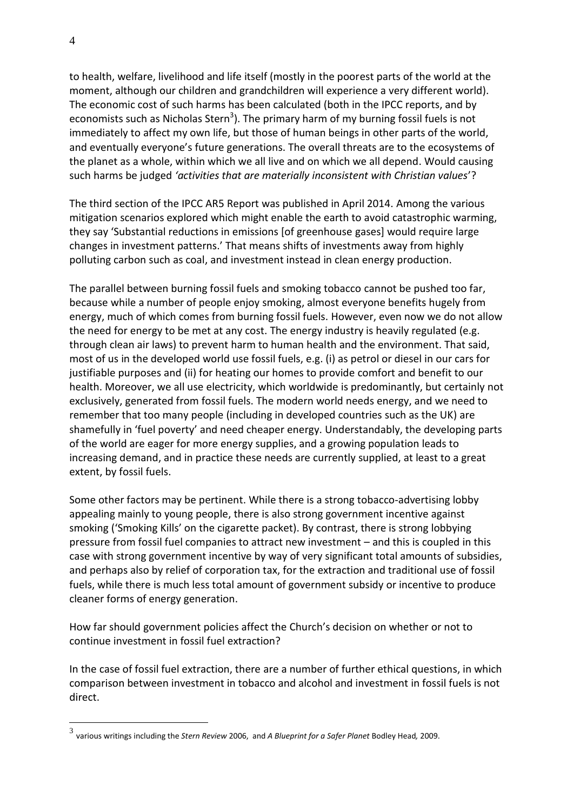to health, welfare, livelihood and life itself (mostly in the poorest parts of the world at the moment, although our children and grandchildren will experience a very different world). The economic cost of such harms has been calculated (both in the IPCC reports, and by economists such as Nicholas Stern<sup>3</sup>). The primary harm of my burning fossil fuels is not immediately to affect my own life, but those of human beings in other parts of the world, and eventually everyone's future generations. The overall threats are to the ecosystems of the planet as a whole, within which we all live and on which we all depend. Would causing such harms be judged *'activities that are materially inconsistent with Christian values*'?

The third section of the IPCC AR5 Report was published in April 2014. Among the various mitigation scenarios explored which might enable the earth to avoid catastrophic warming, they say 'Substantial reductions in emissions [of greenhouse gases] would require large changes in investment patterns.' That means shifts of investments away from highly polluting carbon such as coal, and investment instead in clean energy production.

The parallel between burning fossil fuels and smoking tobacco cannot be pushed too far, because while a number of people enjoy smoking, almost everyone benefits hugely from energy, much of which comes from burning fossil fuels. However, even now we do not allow the need for energy to be met at any cost. The energy industry is heavily regulated (e.g. through clean air laws) to prevent harm to human health and the environment. That said, most of us in the developed world use fossil fuels, e.g. (i) as petrol or diesel in our cars for justifiable purposes and (ii) for heating our homes to provide comfort and benefit to our health. Moreover, we all use electricity, which worldwide is predominantly, but certainly not exclusively, generated from fossil fuels. The modern world needs energy, and we need to remember that too many people (including in developed countries such as the UK) are shamefully in 'fuel poverty' and need cheaper energy. Understandably, the developing parts of the world are eager for more energy supplies, and a growing population leads to increasing demand, and in practice these needs are currently supplied, at least to a great extent, by fossil fuels.

Some other factors may be pertinent. While there is a strong tobacco-advertising lobby appealing mainly to young people, there is also strong government incentive against smoking ('Smoking Kills' on the cigarette packet). By contrast, there is strong lobbying pressure from fossil fuel companies to attract new investment – and this is coupled in this case with strong government incentive by way of very significant total amounts of subsidies, and perhaps also by relief of corporation tax, for the extraction and traditional use of fossil fuels, while there is much less total amount of government subsidy or incentive to produce cleaner forms of energy generation.

How far should government policies affect the Church's decision on whether or not to continue investment in fossil fuel extraction?

In the case of fossil fuel extraction, there are a number of further ethical questions, in which comparison between investment in tobacco and alcohol and investment in fossil fuels is not direct.

 $\overline{a}$ 

<sup>3</sup> various writings including the *Stern Review* 2006, and *A Blueprint for a Safer Planet* Bodley Head*,* 2009.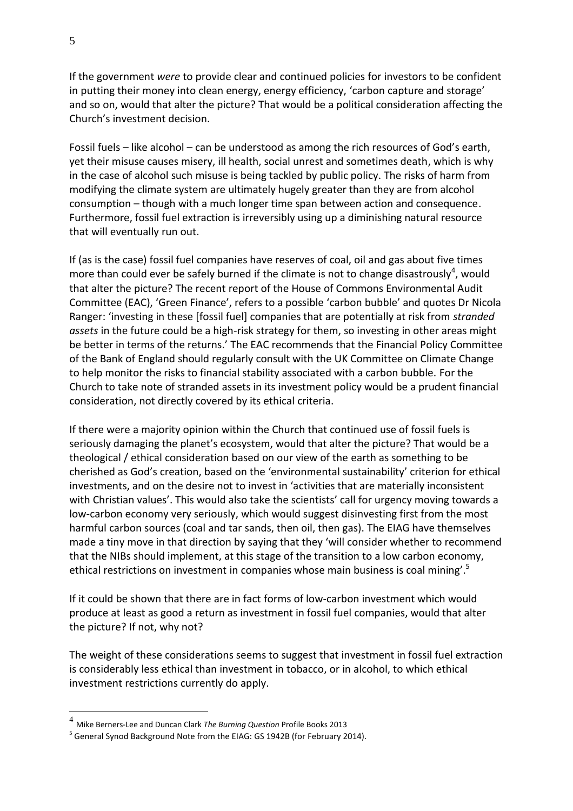If the government *were* to provide clear and continued policies for investors to be confident in putting their money into clean energy, energy efficiency, 'carbon capture and storage' and so on, would that alter the picture? That would be a political consideration affecting the Church's investment decision.

Fossil fuels – like alcohol – can be understood as among the rich resources of God's earth, yet their misuse causes misery, ill health, social unrest and sometimes death, which is why in the case of alcohol such misuse is being tackled by public policy. The risks of harm from modifying the climate system are ultimately hugely greater than they are from alcohol consumption – though with a much longer time span between action and consequence. Furthermore, fossil fuel extraction is irreversibly using up a diminishing natural resource that will eventually run out.

If (as is the case) fossil fuel companies have reserves of coal, oil and gas about five times more than could ever be safely burned if the climate is not to change disastrously<sup>4</sup>, would that alter the picture? The recent report of the House of Commons Environmental Audit Committee (EAC), 'Green Finance', refers to a possible 'carbon bubble' and quotes Dr Nicola Ranger: 'investing in these [fossil fuel] companies that are potentially at risk from *stranded assets* in the future could be a high-risk strategy for them, so investing in other areas might be better in terms of the returns.' The EAC recommends that the Financial Policy Committee of the Bank of England should regularly consult with the UK Committee on Climate Change to help monitor the risks to financial stability associated with a carbon bubble. For the Church to take note of stranded assets in its investment policy would be a prudent financial consideration, not directly covered by its ethical criteria.

If there were a majority opinion within the Church that continued use of fossil fuels is seriously damaging the planet's ecosystem, would that alter the picture? That would be a theological / ethical consideration based on our view of the earth as something to be cherished as God's creation, based on the 'environmental sustainability' criterion for ethical investments, and on the desire not to invest in 'activities that are materially inconsistent with Christian values'. This would also take the scientists' call for urgency moving towards a low-carbon economy very seriously, which would suggest disinvesting first from the most harmful carbon sources (coal and tar sands, then oil, then gas). The EIAG have themselves made a tiny move in that direction by saying that they 'will consider whether to recommend that the NIBs should implement, at this stage of the transition to a low carbon economy, ethical restrictions on investment in companies whose main business is coal mining'.<sup>5</sup>

If it could be shown that there are in fact forms of low-carbon investment which would produce at least as good a return as investment in fossil fuel companies, would that alter the picture? If not, why not?

The weight of these considerations seems to suggest that investment in fossil fuel extraction is considerably less ethical than investment in tobacco, or in alcohol, to which ethical investment restrictions currently do apply.

 $\overline{a}$ 

<sup>4</sup> Mike Berners-Lee and Duncan Clark *The Burning Question* Profile Books 2013

<sup>&</sup>lt;sup>5</sup> General Synod Background Note from the EIAG: GS 1942B (for February 2014).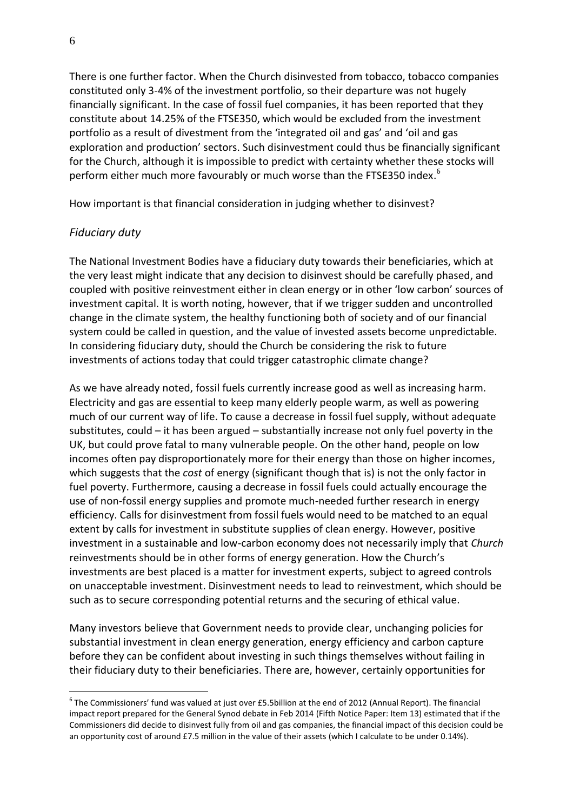There is one further factor. When the Church disinvested from tobacco, tobacco companies constituted only 3-4% of the investment portfolio, so their departure was not hugely financially significant. In the case of fossil fuel companies, it has been reported that they constitute about 14.25% of the FTSE350, which would be excluded from the investment portfolio as a result of divestment from the 'integrated oil and gas' and 'oil and gas exploration and production' sectors. Such disinvestment could thus be financially significant for the Church, although it is impossible to predict with certainty whether these stocks will perform either much more favourably or much worse than the FTSE350 index.<sup>6</sup>

How important is that financial consideration in judging whether to disinvest?

# *Fiduciary duty*

 $\overline{a}$ 

The National Investment Bodies have a fiduciary duty towards their beneficiaries, which at the very least might indicate that any decision to disinvest should be carefully phased, and coupled with positive reinvestment either in clean energy or in other 'low carbon' sources of investment capital. It is worth noting, however, that if we trigger sudden and uncontrolled change in the climate system, the healthy functioning both of society and of our financial system could be called in question, and the value of invested assets become unpredictable. In considering fiduciary duty, should the Church be considering the risk to future investments of actions today that could trigger catastrophic climate change?

As we have already noted, fossil fuels currently increase good as well as increasing harm. Electricity and gas are essential to keep many elderly people warm, as well as powering much of our current way of life. To cause a decrease in fossil fuel supply, without adequate substitutes, could – it has been argued – substantially increase not only fuel poverty in the UK, but could prove fatal to many vulnerable people. On the other hand, people on low incomes often pay disproportionately more for their energy than those on higher incomes, which suggests that the *cost* of energy (significant though that is) is not the only factor in fuel poverty. Furthermore, causing a decrease in fossil fuels could actually encourage the use of non-fossil energy supplies and promote much-needed further research in energy efficiency. Calls for disinvestment from fossil fuels would need to be matched to an equal extent by calls for investment in substitute supplies of clean energy. However, positive investment in a sustainable and low-carbon economy does not necessarily imply that *Church* reinvestments should be in other forms of energy generation. How the Church's investments are best placed is a matter for investment experts, subject to agreed controls on unacceptable investment. Disinvestment needs to lead to reinvestment, which should be such as to secure corresponding potential returns and the securing of ethical value.

Many investors believe that Government needs to provide clear, unchanging policies for substantial investment in clean energy generation, energy efficiency and carbon capture before they can be confident about investing in such things themselves without failing in their fiduciary duty to their beneficiaries. There are, however, certainly opportunities for

 $^6$  The Commissioners' fund was valued at just over £5.5billion at the end of 2012 (Annual Report). The financial impact report prepared for the General Synod debate in Feb 2014 (Fifth Notice Paper: Item 13) estimated that if the Commissioners did decide to disinvest fully from oil and gas companies, the financial impact of this decision could be an opportunity cost of around £7.5 million in the value of their assets (which I calculate to be under 0.14%).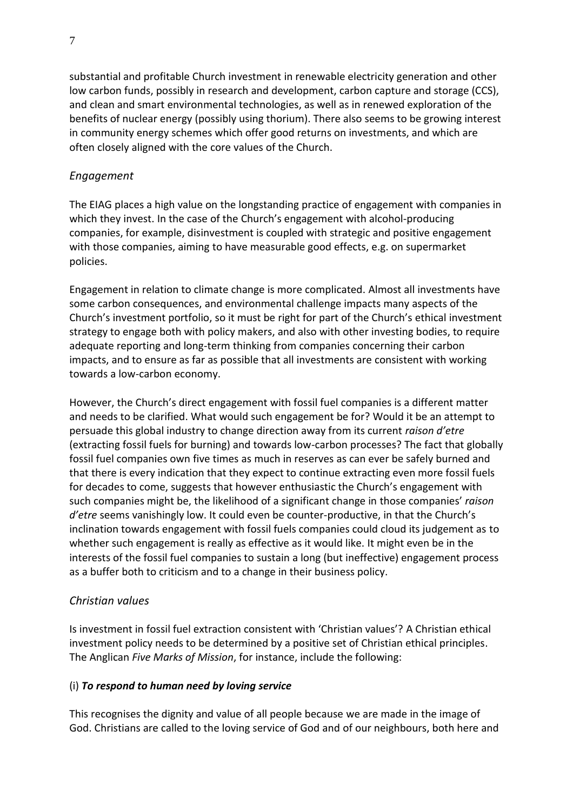substantial and profitable Church investment in renewable electricity generation and other low carbon funds, possibly in research and development, carbon capture and storage (CCS), and clean and smart environmental technologies, as well as in renewed exploration of the benefits of nuclear energy (possibly using thorium). There also seems to be growing interest in community energy schemes which offer good returns on investments, and which are often closely aligned with the core values of the Church.

#### *Engagement*

The EIAG places a high value on the longstanding practice of engagement with companies in which they invest. In the case of the Church's engagement with alcohol-producing companies, for example, disinvestment is coupled with strategic and positive engagement with those companies, aiming to have measurable good effects, e.g. on supermarket policies.

Engagement in relation to climate change is more complicated. Almost all investments have some carbon consequences, and environmental challenge impacts many aspects of the Church's investment portfolio, so it must be right for part of the Church's ethical investment strategy to engage both with policy makers, and also with other investing bodies, to require adequate reporting and long-term thinking from companies concerning their carbon impacts, and to ensure as far as possible that all investments are consistent with working towards a low-carbon economy.

However, the Church's direct engagement with fossil fuel companies is a different matter and needs to be clarified. What would such engagement be for? Would it be an attempt to persuade this global industry to change direction away from its current *raison d'etre* (extracting fossil fuels for burning) and towards low-carbon processes? The fact that globally fossil fuel companies own five times as much in reserves as can ever be safely burned and that there is every indication that they expect to continue extracting even more fossil fuels for decades to come, suggests that however enthusiastic the Church's engagement with such companies might be, the likelihood of a significant change in those companies' *raison d'etre* seems vanishingly low. It could even be counter-productive, in that the Church's inclination towards engagement with fossil fuels companies could cloud its judgement as to whether such engagement is really as effective as it would like. It might even be in the interests of the fossil fuel companies to sustain a long (but ineffective) engagement process as a buffer both to criticism and to a change in their business policy.

#### *Christian values*

Is investment in fossil fuel extraction consistent with 'Christian values'? A Christian ethical investment policy needs to be determined by a positive set of Christian ethical principles. The Anglican *Five Marks of Mission*, for instance, include the following:

#### (i) *To respond to human need by loving service*

This recognises the dignity and value of all people because we are made in the image of God. Christians are called to the loving service of God and of our neighbours, both here and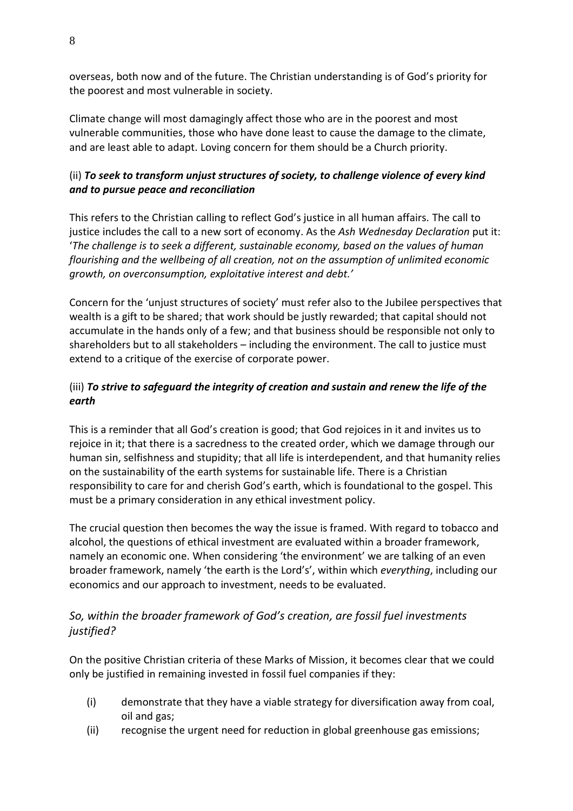overseas, both now and of the future. The Christian understanding is of God's priority for the poorest and most vulnerable in society.

Climate change will most damagingly affect those who are in the poorest and most vulnerable communities, those who have done least to cause the damage to the climate, and are least able to adapt. Loving concern for them should be a Church priority.

# (ii) *To seek to transform unjust structures of society, to challenge violence of every kind and to pursue peace and reconciliation*

This refers to the Christian calling to reflect God's justice in all human affairs. The call to justice includes the call to a new sort of economy. As the *Ash Wednesday Declaration* put it: '*The challenge is to seek a different, sustainable economy, based on the values of human flourishing and the wellbeing of all creation, not on the assumption of unlimited economic growth, on overconsumption, exploitative interest and debt.'*

Concern for the 'unjust structures of society' must refer also to the Jubilee perspectives that wealth is a gift to be shared; that work should be justly rewarded; that capital should not accumulate in the hands only of a few; and that business should be responsible not only to shareholders but to all stakeholders – including the environment. The call to justice must extend to a critique of the exercise of corporate power.

# (iii) *To strive to safeguard the integrity of creation and sustain and renew the life of the earth*

This is a reminder that all God's creation is good; that God rejoices in it and invites us to rejoice in it; that there is a sacredness to the created order, which we damage through our human sin, selfishness and stupidity; that all life is interdependent, and that humanity relies on the sustainability of the earth systems for sustainable life. There is a Christian responsibility to care for and cherish God's earth, which is foundational to the gospel. This must be a primary consideration in any ethical investment policy.

The crucial question then becomes the way the issue is framed. With regard to tobacco and alcohol, the questions of ethical investment are evaluated within a broader framework, namely an economic one. When considering 'the environment' we are talking of an even broader framework, namely 'the earth is the Lord's', within which *everything*, including our economics and our approach to investment, needs to be evaluated.

# *So, within the broader framework of God's creation, are fossil fuel investments justified?*

On the positive Christian criteria of these Marks of Mission, it becomes clear that we could only be justified in remaining invested in fossil fuel companies if they:

- (i) demonstrate that they have a viable strategy for diversification away from coal, oil and gas;
- (ii) recognise the urgent need for reduction in global greenhouse gas emissions;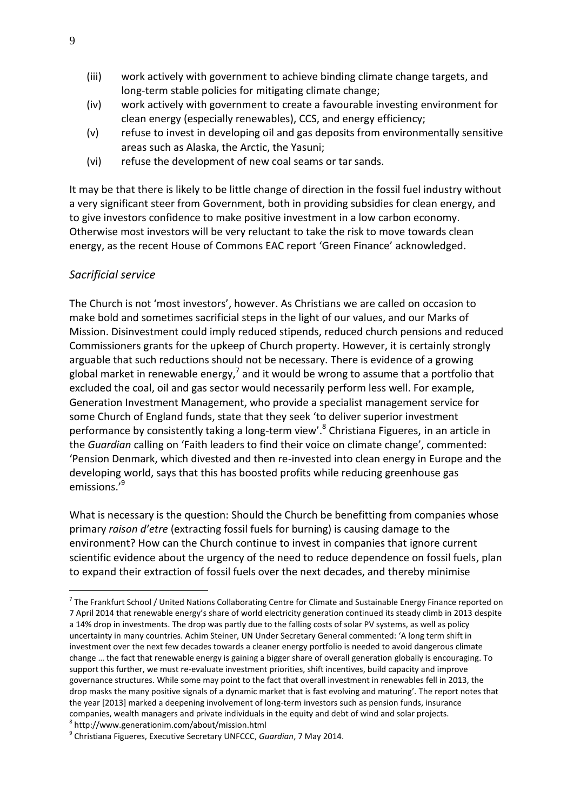- (iii) work actively with government to achieve binding climate change targets, and long-term stable policies for mitigating climate change;
- (iv) work actively with government to create a favourable investing environment for clean energy (especially renewables), CCS, and energy efficiency;
- (v) refuse to invest in developing oil and gas deposits from environmentally sensitive areas such as Alaska, the Arctic, the Yasuni;
- (vi) refuse the development of new coal seams or tar sands.

It may be that there is likely to be little change of direction in the fossil fuel industry without a very significant steer from Government, both in providing subsidies for clean energy, and to give investors confidence to make positive investment in a low carbon economy. Otherwise most investors will be very reluctant to take the risk to move towards clean energy, as the recent House of Commons EAC report 'Green Finance' acknowledged.

### *Sacrificial service*

 $\overline{a}$ 

The Church is not 'most investors', however. As Christians we are called on occasion to make bold and sometimes sacrificial steps in the light of our values, and our Marks of Mission. Disinvestment could imply reduced stipends, reduced church pensions and reduced Commissioners grants for the upkeep of Church property. However, it is certainly strongly arguable that such reductions should not be necessary. There is evidence of a growing global market in renewable energy,<sup>7</sup> and it would be wrong to assume that a portfolio that excluded the coal, oil and gas sector would necessarily perform less well. For example, Generation Investment Management, who provide a specialist management service for some Church of England funds, state that they seek 'to deliver superior investment performance by consistently taking a long-term view'.<sup>8</sup> Christiana Figueres, in an article in the *Guardian* calling on 'Faith leaders to find their voice on climate change', commented: 'Pension Denmark, which divested and then re-invested into clean energy in Europe and the developing world, says that this has boosted profits while reducing greenhouse gas emissions.'<sup>9</sup>

What is necessary is the question: Should the Church be benefitting from companies whose primary *raison d'etre* (extracting fossil fuels for burning) is causing damage to the environment? How can the Church continue to invest in companies that ignore current scientific evidence about the urgency of the need to reduce dependence on fossil fuels, plan to expand their extraction of fossil fuels over the next decades, and thereby minimise

<sup>&</sup>lt;sup>7</sup> The Frankfurt School / United Nations Collaborating Centre for Climate and Sustainable Energy Finance reported on 7 April 2014 that renewable energy's share of world electricity generation continued its steady climb in 2013 despite a 14% drop in investments. The drop was partly due to the falling costs of solar PV systems, as well as policy uncertainty in many countries. Achim Steiner, UN Under Secretary General commented: 'A long term shift in investment over the next few decades towards a cleaner energy portfolio is needed to avoid dangerous climate change … the fact that renewable energy is gaining a bigger share of overall generation globally is encouraging. To support this further, we must re-evaluate investment priorities, shift incentives, build capacity and improve governance structures. While some may point to the fact that overall investment in renewables fell in 2013, the drop masks the many positive signals of a dynamic market that is fast evolving and maturing'. The report notes that the year [2013] marked a deepening involvement of long-term investors such as pension funds, insurance companies, wealth managers and private individuals in the equity and debt of wind and solar projects. 8 http://www.generationim.com/about/mission.html

<sup>9</sup> Christiana Figueres, Executive Secretary UNFCCC, *Guardian*, 7 May 2014.